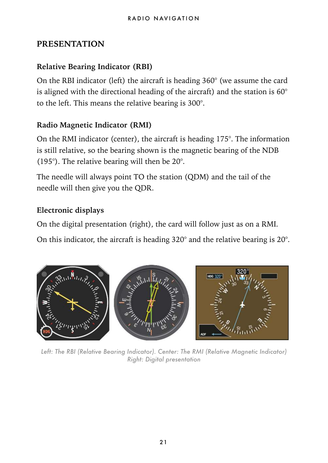#### **PRESENTATION**

#### **Relative Bearing Indicator (RBI)**

On the RBI indicator (left) the aircraft is heading 360° (we assume the card is aligned with the directional heading of the aircraft) and the station is  $60^{\circ}$ to the left. This means the relative bearing is 300°.

#### **Radio Magnetic Indicator (RMI)**

On the RMI indicator (center), the aircraft is heading 175°. The information is still relative, so the bearing shown is the magnetic bearing of the NDB (195°). The relative bearing will then be 20°.

The needle will always point TO the station (QDM) and the tail of the needle will then give you the QDR.

#### **Electronic displays**

On the digital presentation (right), the card will follow just as on a RMI.

On this indicator, the aircraft is heading 320° and the relative bearing is 20°.



Left: The RBI (Relative Bearing Indicator). Center: The RMI (Relative Magnetic Indicator) *Right: Digital presentation*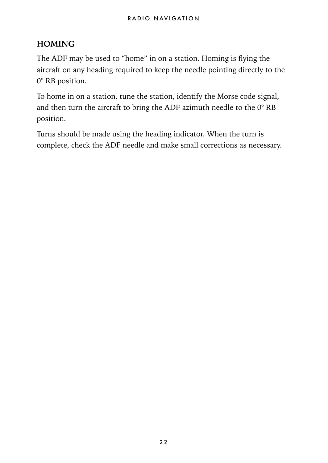#### **HOMING**

The ADF may be used to "home" in on a station. Homing is flying the aircraft on any heading required to keep the needle pointing directly to the 0° RB position.

To home in on a station, tune the station, identify the Morse code signal, and then turn the aircraft to bring the ADF azimuth needle to the  $0^\circ$  RB position.

Turns should be made using the heading indicator. When the turn is complete, check the ADF needle and make small corrections as necessary.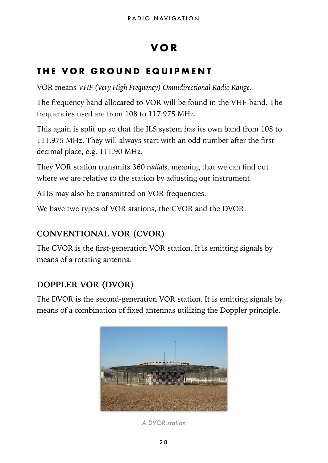## **VOR**

## **THE VOR GROUND EQUIPMENT**

VOR means *VHF (Very High Frequency) Omnidirectional Radio Range*.

The frequency band allocated to VOR will be found in the VHF-band. The frequencies used are from 108 to 117.975 MHz.

This again is split up so that the ILS system has its own band from 108 to 111.975 MHz. They will always start with an odd number after the first decimal place, e.g. 111.90 MHz.

They VOR station transmits 360 *radials*, meaning that we can find out where we are relative to the station by adjusting our instrument.

ATIS may also be transmitted on VOR frequencies.

We have two types of VOR stations, the CVOR and the DVOR.

#### **CONVENTIONAL VOR (CVOR)**

The CVOR is the first-generation VOR station. It is emitting signals by means of a rotating antenna.

#### **DOPPLER VOR (DVOR)**

The DVOR is the second-generation VOR station. It is emitting signals by means of a combination of fixed antennas utilizing the Doppler principle.



*A DVOR station*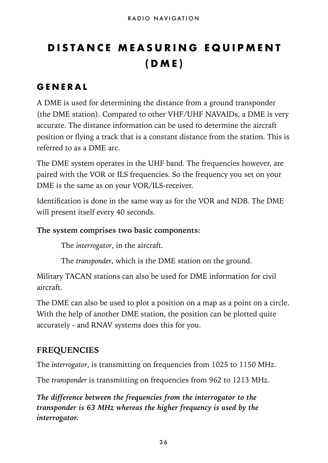# **DISTANCE MEASURING EQUIPMENT (DME)**

#### **GENERAL**

A DME is used for determining the distance from a ground transponder (the DME station). Compared to other VHF/UHF NAVAIDs, a DME is very accurate. The distance information can be used to determine the aircraft position or flying a track that is a constant distance from the station. This is referred to as a DME arc.

The DME system operates in the UHF band. The frequencies however, are paired with the VOR or ILS frequencies. So the frequency you set on your DME is the same as on your VOR/ILS-receiver.

Identification is done in the same way as for the VOR and NDB. The DME will present itself every 40 seconds.

#### **The system comprises two basic components:**

The *interrogator*, in the aircraft.

The *transponder*, which is the DME station on the ground.

Military TACAN stations can also be used for DME information for civil aircraft.

The DME can also be used to plot a position on a map as a point on a circle. With the help of another DME station, the position can be plotted quite accurately - and RNAV systems does this for you.

#### **FREQUENCIES**

The *interrogator*, is transmitting on frequencies from 1025 to 1150 MHz.

The *transponder* is transmitting on frequencies from 962 to 1213 MHz.

*The difference between the frequencies from the interrogator to the transponder is 63 MHz whereas the higher frequency is used by the interrogator.*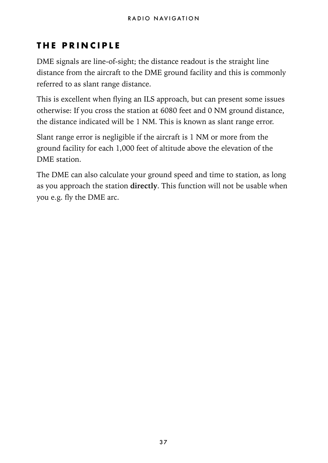## **THE PRINCIPLE**

DME signals are line-of-sight; the distance readout is the straight line distance from the aircraft to the DME ground facility and this is commonly referred to as slant range distance.

This is excellent when flying an ILS approach, but can present some issues otherwise: If you cross the station at 6080 feet and 0 NM ground distance, the distance indicated will be 1 NM. This is known as slant range error.

Slant range error is negligible if the aircraft is 1 NM or more from the ground facility for each 1,000 feet of altitude above the elevation of the DME station.

The DME can also calculate your ground speed and time to station, as long as you approach the station **directly**. This function will not be usable when you e.g. fly the DME arc.